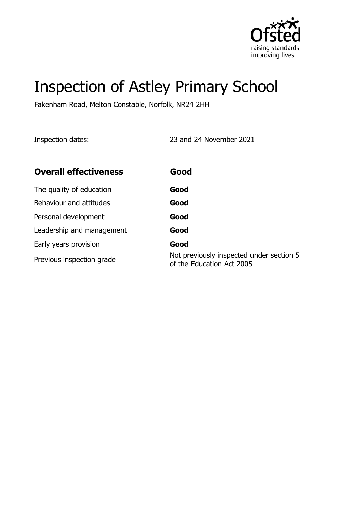

# Inspection of Astley Primary School

Fakenham Road, Melton Constable, Norfolk, NR24 2HH

Inspection dates: 23 and 24 November 2021

| <b>Overall effectiveness</b> | Good                                                                  |
|------------------------------|-----------------------------------------------------------------------|
| The quality of education     | Good                                                                  |
| Behaviour and attitudes      | Good                                                                  |
| Personal development         | Good                                                                  |
| Leadership and management    | Good                                                                  |
| Early years provision        | Good                                                                  |
| Previous inspection grade    | Not previously inspected under section 5<br>of the Education Act 2005 |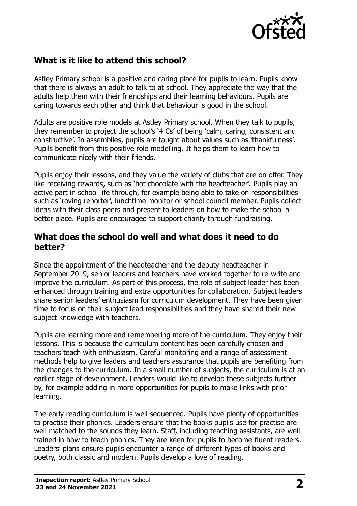

# **What is it like to attend this school?**

Astley Primary school is a positive and caring place for pupils to learn. Pupils know that there is always an adult to talk to at school. They appreciate the way that the adults help them with their friendships and their learning behaviours. Pupils are caring towards each other and think that behaviour is good in the school.

Adults are positive role models at Astley Primary school. When they talk to pupils, they remember to project the school's '4 Cs' of being 'calm, caring, consistent and constructive'. In assemblies, pupils are taught about values such as 'thankfulness'. Pupils benefit from this positive role modelling. It helps them to learn how to communicate nicely with their friends.

Pupils enjoy their lessons, and they value the variety of clubs that are on offer. They like receiving rewards, such as 'hot chocolate with the headteacher'. Pupils play an active part in school life through, for example being able to take on responsibilities such as 'roving reporter', lunchtime monitor or school council member. Pupils collect ideas with their class peers and present to leaders on how to make the school a better place. Pupils are encouraged to support charity through fundraising.

### **What does the school do well and what does it need to do better?**

Since the appointment of the headteacher and the deputy headteacher in September 2019, senior leaders and teachers have worked together to re-write and improve the curriculum. As part of this process, the role of subject leader has been enhanced through training and extra opportunities for collaboration. Subject leaders share senior leaders' enthusiasm for curriculum development. They have been given time to focus on their subject lead responsibilities and they have shared their new subject knowledge with teachers.

Pupils are learning more and remembering more of the curriculum. They enjoy their lessons. This is because the curriculum content has been carefully chosen and teachers teach with enthusiasm. Careful monitoring and a range of assessment methods help to give leaders and teachers assurance that pupils are benefiting from the changes to the curriculum. In a small number of subjects, the curriculum is at an earlier stage of development. Leaders would like to develop these subjects further by, for example adding in more opportunities for pupils to make links with prior learning.

The early reading curriculum is well sequenced. Pupils have plenty of opportunities to practise their phonics. Leaders ensure that the books pupils use for practise are well matched to the sounds they learn. Staff, including teaching assistants, are well trained in how to teach phonics. They are keen for pupils to become fluent readers. Leaders' plans ensure pupils encounter a range of different types of books and poetry, both classic and modern. Pupils develop a love of reading.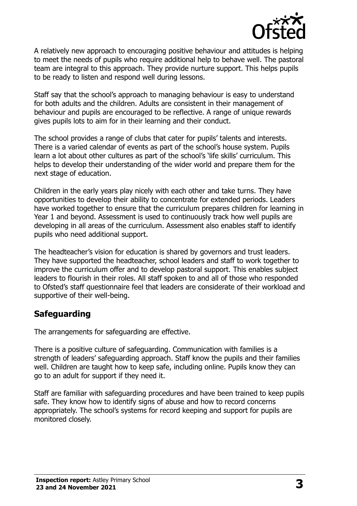

A relatively new approach to encouraging positive behaviour and attitudes is helping to meet the needs of pupils who require additional help to behave well. The pastoral team are integral to this approach. They provide nurture support. This helps pupils to be ready to listen and respond well during lessons.

Staff say that the school's approach to managing behaviour is easy to understand for both adults and the children. Adults are consistent in their management of behaviour and pupils are encouraged to be reflective. A range of unique rewards gives pupils lots to aim for in their learning and their conduct.

The school provides a range of clubs that cater for pupils' talents and interests. There is a varied calendar of events as part of the school's house system. Pupils learn a lot about other cultures as part of the school's 'life skills' curriculum. This helps to develop their understanding of the wider world and prepare them for the next stage of education.

Children in the early years play nicely with each other and take turns. They have opportunities to develop their ability to concentrate for extended periods. Leaders have worked together to ensure that the curriculum prepares children for learning in Year 1 and beyond. Assessment is used to continuously track how well pupils are developing in all areas of the curriculum. Assessment also enables staff to identify pupils who need additional support.

The headteacher's vision for education is shared by governors and trust leaders. They have supported the headteacher, school leaders and staff to work together to improve the curriculum offer and to develop pastoral support. This enables subject leaders to flourish in their roles. All staff spoken to and all of those who responded to Ofsted's staff questionnaire feel that leaders are considerate of their workload and supportive of their well-being.

# **Safeguarding**

The arrangements for safeguarding are effective.

There is a positive culture of safeguarding. Communication with families is a strength of leaders' safeguarding approach. Staff know the pupils and their families well. Children are taught how to keep safe, including online. Pupils know they can go to an adult for support if they need it.

Staff are familiar with safeguarding procedures and have been trained to keep pupils safe. They know how to identify signs of abuse and how to record concerns appropriately. The school's systems for record keeping and support for pupils are monitored closely.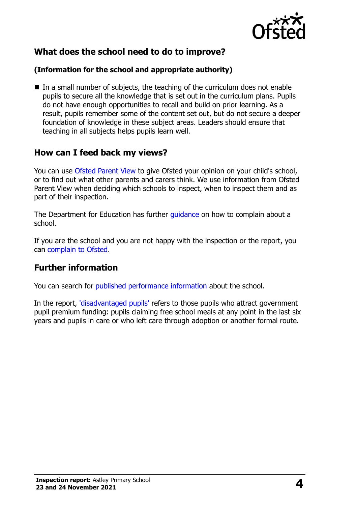

# **What does the school need to do to improve?**

#### **(Information for the school and appropriate authority)**

In a small number of subjects, the teaching of the curriculum does not enable pupils to secure all the knowledge that is set out in the curriculum plans. Pupils do not have enough opportunities to recall and build on prior learning. As a result, pupils remember some of the content set out, but do not secure a deeper foundation of knowledge in these subject areas. Leaders should ensure that teaching in all subjects helps pupils learn well.

## **How can I feed back my views?**

You can use [Ofsted Parent View](http://parentview.ofsted.gov.uk/) to give Ofsted your opinion on your child's school, or to find out what other parents and carers think. We use information from Ofsted Parent View when deciding which schools to inspect, when to inspect them and as part of their inspection.

The Department for Education has further *guidance* on how to complain about a school.

If you are the school and you are not happy with the inspection or the report, you can [complain to Ofsted.](http://www.gov.uk/complain-ofsted-report)

## **Further information**

You can search for [published performance information](http://www.compare-school-performance.service.gov.uk/) about the school.

In the report, ['disadvantaged pupils'](http://www.gov.uk/guidance/pupil-premium-information-for-schools-and-alternative-provision-settings) refers to those pupils who attract government pupil premium funding: pupils claiming free school meals at any point in the last six years and pupils in care or who left care through adoption or another formal route.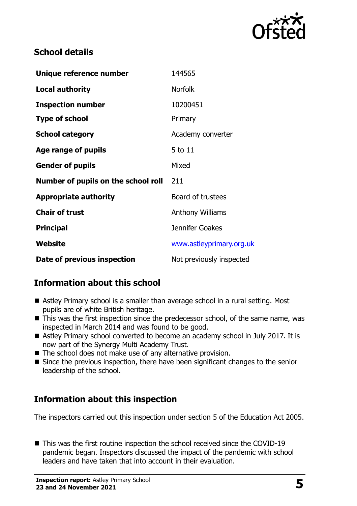

# **School details**

| Unique reference number             | 144565                   |
|-------------------------------------|--------------------------|
| <b>Local authority</b>              | <b>Norfolk</b>           |
| <b>Inspection number</b>            | 10200451                 |
| <b>Type of school</b>               | Primary                  |
| <b>School category</b>              | Academy converter        |
| Age range of pupils                 | 5 to 11                  |
| <b>Gender of pupils</b>             | Mixed                    |
| Number of pupils on the school roll | 211                      |
| <b>Appropriate authority</b>        | Board of trustees        |
| <b>Chair of trust</b>               | <b>Anthony Williams</b>  |
| <b>Principal</b>                    | Jennifer Goakes          |
| <b>Website</b>                      | www.astleyprimary.org.uk |
| Date of previous inspection         | Not previously inspected |

# **Information about this school**

- Astley Primary school is a smaller than average school in a rural setting. Most pupils are of white British heritage.
- This was the first inspection since the predecessor school, of the same name, was inspected in March 2014 and was found to be good.
- Astley Primary school converted to become an academy school in July 2017. It is now part of the Synergy Multi Academy Trust.
- The school does not make use of any alternative provision.
- Since the previous inspection, there have been significant changes to the senior leadership of the school.

# **Information about this inspection**

The inspectors carried out this inspection under section 5 of the Education Act 2005.

■ This was the first routine inspection the school received since the COVID-19 pandemic began. Inspectors discussed the impact of the pandemic with school leaders and have taken that into account in their evaluation.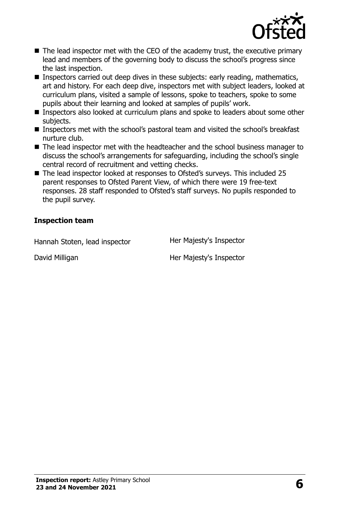

- The lead inspector met with the CEO of the academy trust, the executive primary lead and members of the governing body to discuss the school's progress since the last inspection.
- Inspectors carried out deep dives in these subjects: early reading, mathematics, art and history. For each deep dive, inspectors met with subject leaders, looked at curriculum plans, visited a sample of lessons, spoke to teachers, spoke to some pupils about their learning and looked at samples of pupils' work.
- Inspectors also looked at curriculum plans and spoke to leaders about some other subjects.
- Inspectors met with the school's pastoral team and visited the school's breakfast nurture club.
- The lead inspector met with the headteacher and the school business manager to discuss the school's arrangements for safeguarding, including the school's single central record of recruitment and vetting checks.
- The lead inspector looked at responses to Ofsted's surveys. This included 25 parent responses to Ofsted Parent View, of which there were 19 free-text responses. 28 staff responded to Ofsted's staff surveys. No pupils responded to the pupil survey.

#### **Inspection team**

Hannah Stoten, lead inspector **Her Majesty's Inspector** 

David Milligan **Her Majesty's Inspector**